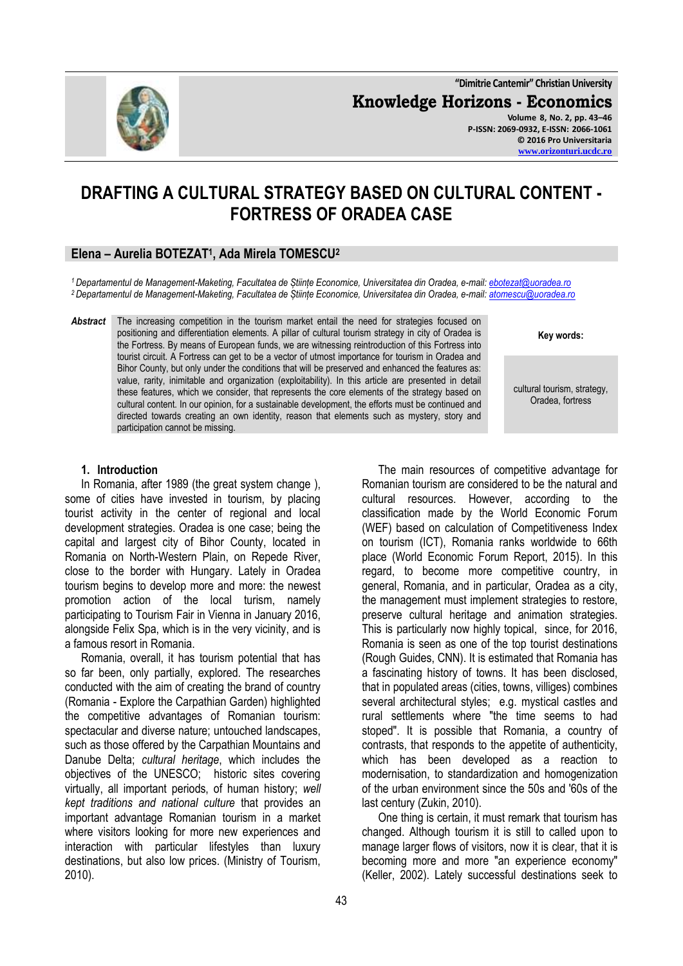

**"Dimitrie Cantemir" Christian University Knowledge Horizons - Economics Volume 8, No. 2, pp. 43–46 P-ISSN: 2069-0932, E-ISSN: 2066-1061**

**© 2016 Pro Universitaria [www.orizonturi.ucdc.ro](http://www.orizonturi.ucdc.ro/)**

# **DRAFTING A CULTURAL STRATEGY BASED ON CULTURAL CONTENT - FORTRESS OF ORADEA CASE**

# **Elena – Aurelia BOTEZAT<sup>1</sup> , Ada Mirela TOMESCU<sup>2</sup>**

*<sup>1</sup>Departamentul de Management-Maketing, Facultatea de Științe Economice, Universitatea din Oradea, e-mail[: ebotezat@uoradea.ro](mailto:ebotezat@uoradea.ro) <sup>2</sup>Departamentul de Management-Maketing, Facultatea de Științe Economice, Universitatea din Oradea, e-mail[: atomescu@uoradea.ro](mailto:atomescu@uoradea.ro)*

Abstract The increasing competition in the tourism market entail the need for strategies focused on positioning and differentiation elements. A pillar of cultural tourism strategy in city of Oradea is the Fortress. By means of European funds, we are witnessing reintroduction of this Fortress into tourist circuit. A Fortress can get to be a vector of utmost importance for tourism in Oradea and Bihor County, but only under the conditions that will be preserved and enhanced the features as: value, rarity, inimitable and organization (exploitability). In this article are presented in detail these features, which we consider, that represents the core elements of the strategy based on cultural content. In our opinion, for a sustainable development, the efforts must be continued and directed towards creating an own identity, reason that elements such as mystery, story and participation cannot be missing.

**Key words:**

cultural tourism, strategy, Oradea, fortress

#### **1. Introduction**

In Romania, after 1989 (the great system change ), some of cities have invested in tourism, by placing tourist activity in the center of regional and local development strategies. Oradea is one case; being the capital and largest city of Bihor County, located in Romania on North-Western Plain, on Repede River, close to the border with Hungary. Lately in Oradea tourism begins to develop more and more: the newest promotion action of the local turism, namely participating to Tourism Fair in Vienna in January 2016, alongside Felix Spa, which is in the very vicinity, and is a famous resort in Romania.

Romania, overall, it has tourism potential that has so far been, only partially, explored. The researches conducted with the aim of creating the brand of country (Romania - Explore the Carpathian Garden) highlighted the competitive advantages of Romanian tourism: spectacular and diverse nature; untouched landscapes, such as those offered by the Carpathian Mountains and Danube Delta; *cultural heritage*, which includes the objectives of the UNESCO; historic sites covering virtually, all important periods, of human history; *well kept traditions and national culture* that provides an important advantage Romanian tourism in a market where visitors looking for more new experiences and interaction with particular lifestyles than luxury destinations, but also low prices. (Ministry of Tourism, 2010).

The main resources of competitive advantage for Romanian tourism are considered to be the natural and cultural resources. However, according to the classification made by the World Economic Forum (WEF) based on calculation of Competitiveness Index on tourism (ICT), Romania ranks worldwide to 66th place (World Economic Forum Report, 2015). In this regard, to become more competitive country, in general, Romania, and in particular, Oradea as a city, the management must implement strategies to restore, preserve cultural heritage and animation strategies. This is particularly now highly topical, since, for 2016, Romania is seen as one of the top tourist destinations (Rough Guides, CNN). It is estimated that Romania has a fascinating history of towns. It has been disclosed, that in populated areas (cities, towns, villiges) combines several architectural styles; e.g. mystical castles and rural settlements where "the time seems to had stoped". It is possible that Romania, a country of contrasts, that responds to the appetite of authenticity, which has been developed as a reaction to modernisation, to standardization and homogenization of the urban environment since the 50s and '60s of the last century (Zukin, 2010).

One thing is certain, it must remark that tourism has changed. Although tourism it is still to called upon to manage larger flows of visitors, now it is clear, that it is becoming more and more "an experience economy" (Keller, 2002). Lately successful destinations seek to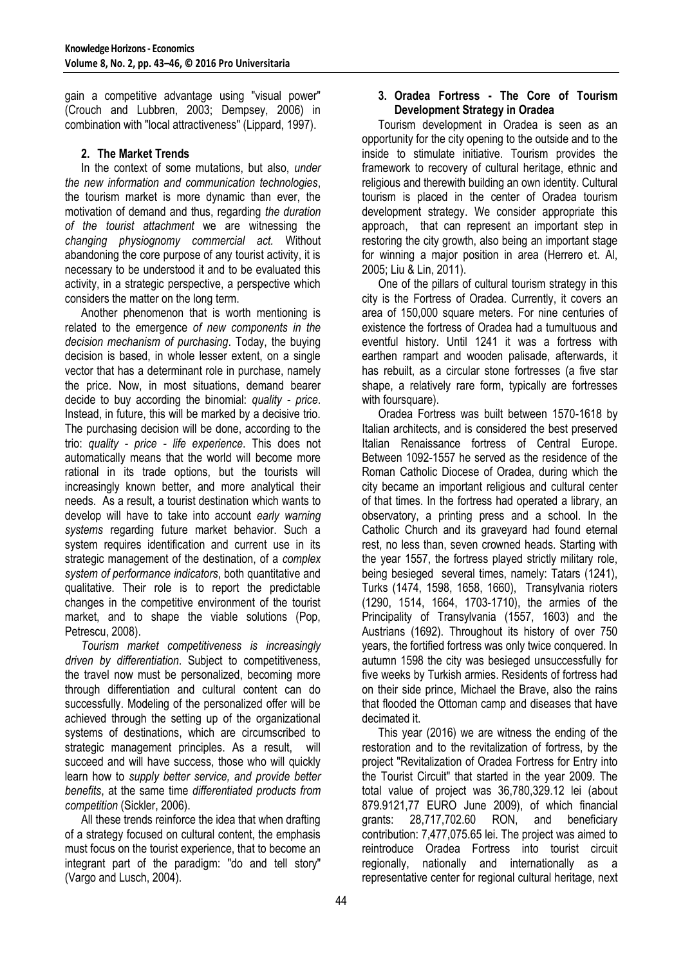gain a competitive advantage using "visual power" (Crouch and Lubbren, 2003; Dempsey, 2006) in combination with "local attractiveness" (Lippard, 1997).

# **2. The Market Trends**

In the context of some mutations, but also, *under the new information and communication technologies*, the tourism market is more dynamic than ever, the motivation of demand and thus, regarding *the duration of the tourist attachment* we are witnessing the *changing physiognomy commercial act.* Without abandoning the core purpose of any tourist activity, it is necessary to be understood it and to be evaluated this activity, in a strategic perspective, a perspective which considers the matter on the long term.

Another phenomenon that is worth mentioning is related to the emergence *of new components in the decision mechanism of purchasing*. Today, the buying decision is based, in whole lesser extent, on a single vector that has a determinant role in purchase, namely the price. Now, in most situations, demand bearer decide to buy according the binomial: *quality - price*. Instead, in future, this will be marked by a decisive trio. The purchasing decision will be done, according to the trio: *quality - price - life experience*. This does not automatically means that the world will become more rational in its trade options, but the tourists will increasingly known better, and more analytical their needs. As a result, a tourist destination which wants to develop will have to take into account *early warning systems* regarding future market behavior. Such a system requires identification and current use in its strategic management of the destination, of a *complex system of performance indicators*, both quantitative and qualitative. Their role is to report the predictable changes in the competitive environment of the tourist market, and to shape the viable solutions (Pop, Petrescu, 2008).

*Tourism market competitiveness is increasingly driven by differentiation*. Subject to competitiveness, the travel now must be personalized, becoming more through differentiation and cultural content can do successfully. Modeling of the personalized offer will be achieved through the setting up of the organizational systems of destinations, which are circumscribed to strategic management principles. As a result, will succeed and will have success, those who will quickly learn how to *supply better service, and provide better benefits*, at the same time *differentiated products from competition* (Sickler, 2006).

All these trends reinforce the idea that when drafting of a strategy focused on cultural content, the emphasis must focus on the tourist experience, that to become an integrant part of the paradigm: "do and tell story" (Vargo and Lusch, 2004).

## **3. Oradea Fortress - The Core of Tourism Development Strategy in Oradea**

Tourism development in Oradea is seen as an opportunity for the city opening to the outside and to the inside to stimulate initiative. Tourism provides the framework to recovery of cultural heritage, ethnic and religious and therewith building an own identity. Cultural tourism is placed in the center of Oradea tourism development strategy. We consider appropriate this approach, that can represent an important step in restoring the city growth, also being an important stage for winning a major position in area (Herrero et. Al, 2005; Liu & Lin, 2011).

One of the pillars of cultural tourism strategy in this city is the Fortress of Oradea. Currently, it covers an area of 150,000 square meters. For nine centuries of existence the fortress of Oradea had a tumultuous and eventful history. Until 1241 it was a fortress with earthen rampart and wooden palisade, afterwards, it has rebuilt, as a circular stone fortresses (a five star shape, a relatively rare form, typically are fortresses with foursquare).

Oradea Fortress was built between 1570-1618 by Italian architects, and is considered the best preserved Italian Renaissance fortress of Central Europe. Between 1092-1557 he served as the residence of the Roman Catholic Diocese of Oradea, during which the city became an important religious and cultural center of that times. In the fortress had operated a library, an observatory, a printing press and a school. In the Catholic Church and its graveyard had found eternal rest, no less than, seven crowned heads. Starting with the year 1557, the fortress played strictly military role, being besieged several times, namely: Tatars (1241), Turks (1474, 1598, 1658, 1660), Transylvania rioters (1290, 1514, 1664, 1703-1710), the armies of the Principality of Transylvania (1557, 1603) and the Austrians (1692). Throughout its history of over 750 years, the fortified fortress was only twice conquered. In autumn 1598 the city was besieged unsuccessfully for five weeks by Turkish armies. Residents of fortress had on their side prince, Michael the Brave, also the rains that flooded the Ottoman camp and diseases that have decimated it.

This year (2016) we are witness the ending of the restoration and to the revitalization of fortress, by the project "Revitalization of Oradea Fortress for Entry into the Tourist Circuit" that started in the year 2009. The total value of project was 36,780,329.12 lei (about 879.9121,77 EURO June 2009), of which financial grants: 28,717,702.60 RON, and beneficiary contribution: 7,477,075.65 lei. The project was aimed to reintroduce Oradea Fortress into tourist circuit regionally, nationally and internationally as a representative center for regional cultural heritage, next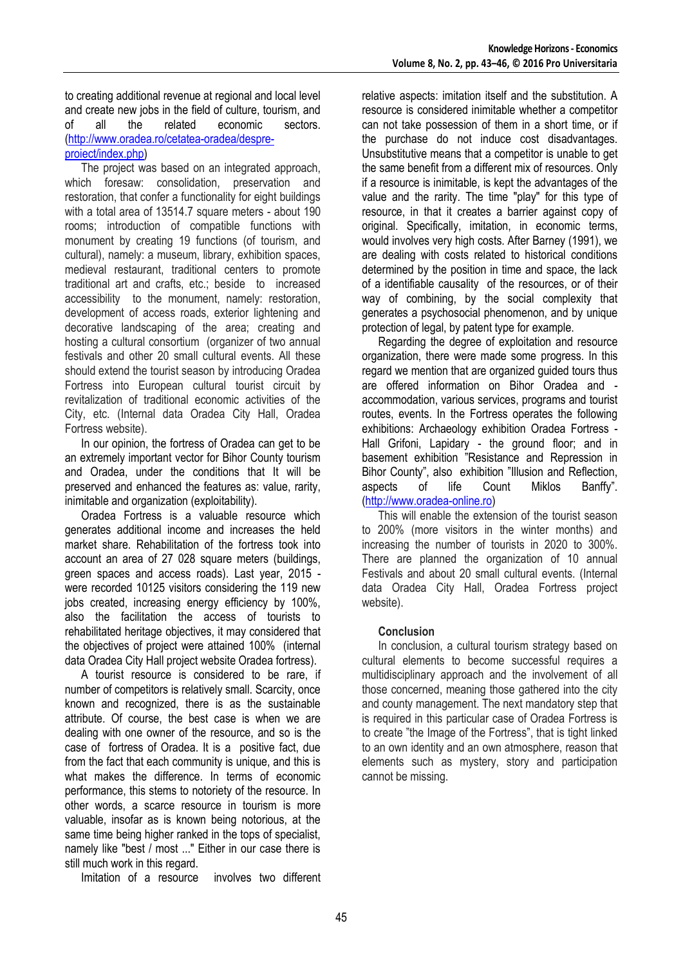to creating additional revenue at regional and local level and create new jobs in the field of culture, tourism, and of all the related economic sectors. [\(http://www.oradea.ro/cetatea-oradea/despre](http://www.oradea.ro/cetatea-oradea/despre-proiect/index.php)[proiect/index.php\)](http://www.oradea.ro/cetatea-oradea/despre-proiect/index.php)

The project was based on an integrated approach, which foresaw: consolidation, preservation and restoration, that confer a functionality for eight buildings with a total area of 13514.7 square meters - about 190 rooms; introduction of compatible functions with monument by creating 19 functions (of tourism, and cultural), namely: a museum, library, exhibition spaces, medieval restaurant, traditional centers to promote traditional art and crafts, etc.; beside to increased accessibility to the monument, namely: restoration, development of access roads, exterior lightening and decorative landscaping of the area; creating and hosting a cultural consortium (organizer of two annual festivals and other 20 small cultural events. All these should extend the tourist season by introducing Oradea Fortress into European cultural tourist circuit by revitalization of traditional economic activities of the City, etc. (Internal data Oradea City Hall, Oradea Fortress website).

In our opinion, the fortress of Oradea can get to be an extremely important vector for Bihor County tourism and Oradea, under the conditions that It will be preserved and enhanced the features as: value, rarity, inimitable and organization (exploitability).

Oradea Fortress is a valuable resource which generates additional income and increases the held market share. Rehabilitation of the fortress took into account an area of 27 028 square meters (buildings, green spaces and access roads). Last year, 2015 were recorded 10125 visitors considering the 119 new jobs created, increasing energy efficiency by 100%, also the facilitation the access of tourists to rehabilitated heritage objectives, it may considered that the objectives of project were attained 100% (internal data Oradea City Hall project website Oradea fortress).

A tourist resource is considered to be rare, if number of competitors is relatively small. Scarcity, once known and recognized, there is as the sustainable attribute. Of course, the best case is when we are dealing with one owner of the resource, and so is the case of fortress of Oradea. It is a positive fact, due from the fact that each community is unique, and this is what makes the difference. In terms of economic performance, this stems to notoriety of the resource. In other words, a scarce resource in tourism is more valuable, insofar as is known being notorious, at the same time being higher ranked in the tops of specialist, namely like "best / most ..." Either in our case there is still much work in this regard.

Imitation of a resource involves two different

relative aspects: imitation itself and the substitution. A resource is considered inimitable whether a competitor can not take possession of them in a short time, or if the purchase do not induce cost disadvantages. Unsubstitutive means that a competitor is unable to get the same benefit from a different mix of resources. Only if a resource is inimitable, is kept the advantages of the value and the rarity. The time "play" for this type of resource, in that it creates a barrier against copy of original. Specifically, imitation, in economic terms, would involves very high costs. After Barney (1991), we are dealing with costs related to historical conditions determined by the position in time and space, the lack of a identifiable causality of the resources, or of their way of combining, by the social complexity that generates a psychosocial phenomenon, and by unique protection of legal, by patent type for example.

Regarding the degree of exploitation and resource organization, there were made some progress. In this regard we mention that are organized guided tours thus are offered information on Bihor Oradea and accommodation, various services, programs and tourist routes, events. In the Fortress operates the following exhibitions: Archaeology exhibition Oradea Fortress - Hall Grifoni, Lapidary - the ground floor; and in basement exhibition "Resistance and Repression in Bihor County", also exhibition "Illusion and Reflection, aspects of life Count Miklos Banffy". [\(http://www.oradea-online.ro\)](http://www.oradea-online.ro/)

This will enable the extension of the tourist season to 200% (more visitors in the winter months) and increasing the number of tourists in 2020 to 300%. There are planned the organization of 10 annual Festivals and about 20 small cultural events. (Internal data Oradea City Hall, Oradea Fortress project website).

## **Conclusion**

In conclusion, a cultural tourism strategy based on cultural elements to become successful requires a multidisciplinary approach and the involvement of all those concerned, meaning those gathered into the city and county management. The next mandatory step that is required in this particular case of Oradea Fortress is to create "the Image of the Fortress", that is tight linked to an own identity and an own atmosphere, reason that elements such as mystery, story and participation cannot be missing.